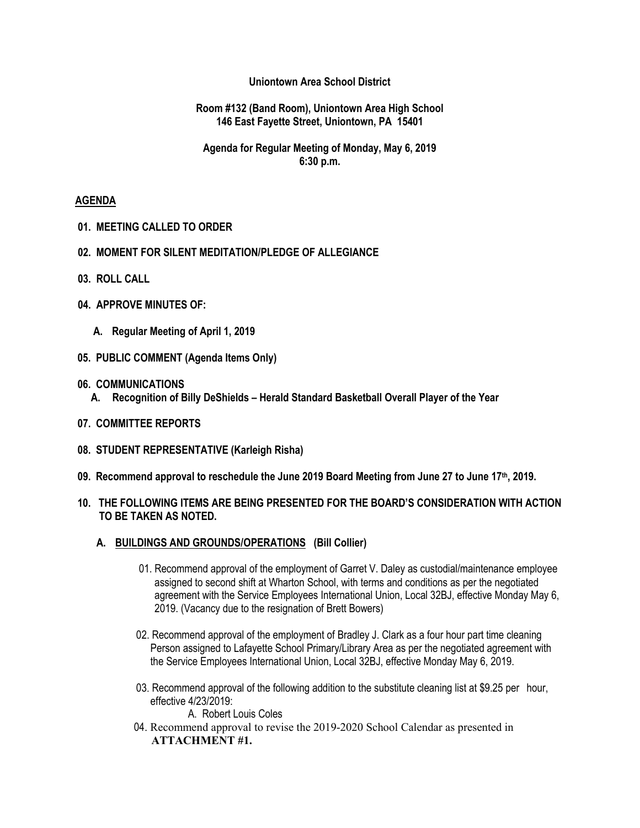### **Uniontown Area School District**

#### **Room #132 (Band Room), Uniontown Area High School 146 East Fayette Street, Uniontown, PA 15401**

### **Agenda for Regular Meeting of Monday, May 6, 2019 6:30 p.m.**

#### **AGENDA**

- **01. MEETING CALLED TO ORDER**
- **02. MOMENT FOR SILENT MEDITATION/PLEDGE OF ALLEGIANCE**
- **03. ROLL CALL**
- **04. APPROVE MINUTES OF:**
	- **A. Regular Meeting of April 1, 2019**
- **05. PUBLIC COMMENT (Agenda Items Only)**
- **06. COMMUNICATIONS** 
	- **A. Recognition of Billy DeShields – Herald Standard Basketball Overall Player of the Year**
- **07. COMMITTEE REPORTS**
- **08. STUDENT REPRESENTATIVE (Karleigh Risha)**
- **09. Recommend approval to reschedule the June 2019 Board Meeting from June 27 to June 17th, 2019.**

### **10. THE FOLLOWING ITEMS ARE BEING PRESENTED FOR THE BOARD'S CONSIDERATION WITH ACTION TO BE TAKEN AS NOTED.**

- **A. BUILDINGS AND GROUNDS/OPERATIONS (Bill Collier)**
	- 01. Recommend approval of the employment of Garret V. Daley as custodial/maintenance employee assigned to second shift at Wharton School, with terms and conditions as per the negotiated agreement with the Service Employees International Union, Local 32BJ, effective Monday May 6, 2019. (Vacancy due to the resignation of Brett Bowers)
	- 02. Recommend approval of the employment of Bradley J. Clark as a four hour part time cleaning Person assigned to Lafayette School Primary/Library Area as per the negotiated agreement with the Service Employees International Union, Local 32BJ, effective Monday May 6, 2019.
	- 03. Recommend approval of the following addition to the substitute cleaning list at \$9.25 per hour, effective 4/23/2019:

A. Robert Louis Coles

04. Recommend approval to revise the 2019-2020 School Calendar as presented in **ATTACHMENT #1.**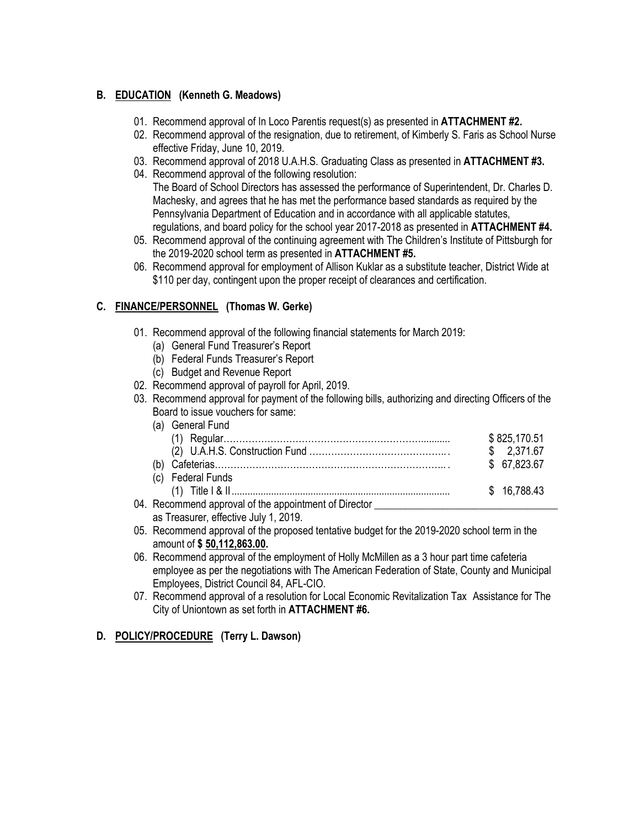# **B. EDUCATION (Kenneth G. Meadows)**

- 01. Recommend approval of In Loco Parentis request(s) as presented in **ATTACHMENT #2.**
- 02. Recommend approval of the resignation, due to retirement, of Kimberly S. Faris as School Nurse effective Friday, June 10, 2019.
- 03. Recommend approval of 2018 U.A.H.S. Graduating Class as presented in **ATTACHMENT #3.**
- 04. Recommend approval of the following resolution: The Board of School Directors has assessed the performance of Superintendent, Dr. Charles D. Machesky, and agrees that he has met the performance based standards as required by the Pennsylvania Department of Education and in accordance with all applicable statutes, regulations, and board policy for the school year 2017-2018 as presented in **ATTACHMENT #4.**
- 05. Recommend approval of the continuing agreement with The Children's Institute of Pittsburgh for the 2019-2020 school term as presented in **ATTACHMENT #5.**
- 06. Recommend approval for employment of Allison Kuklar as a substitute teacher, District Wide at \$110 per day, contingent upon the proper receipt of clearances and certification.

# **C. FINANCE/PERSONNEL (Thomas W. Gerke)**

- 01. Recommend approval of the following financial statements for March 2019:
	- (a) General Fund Treasurer's Report
	- (b) Federal Funds Treasurer's Report
	- (c) Budget and Revenue Report
- 02. Recommend approval of payroll for April, 2019.
- 03. Recommend approval for payment of the following bills, authorizing and directing Officers of the Board to issue vouchers for same:

|                                                                                  | \$825,170.51 |
|----------------------------------------------------------------------------------|--------------|
|                                                                                  | \$2.371.67   |
|                                                                                  | \$ 67,823.67 |
| (c) Federal Funds                                                                |              |
|                                                                                  | \$16,788,43  |
| 04. Recommend approval of the appointment of Director __________________________ |              |

as Treasurer, effective July 1, 2019.

- 05. Recommend approval of the proposed tentative budget for the 2019-2020 school term in the amount of **\$ 50,112,863.00.**
- 06. Recommend approval of the employment of Holly McMillen as a 3 hour part time cafeteria employee as per the negotiations with The American Federation of State, County and Municipal Employees, District Council 84, AFL-CIO.
- 07. Recommend approval of a resolution for Local Economic Revitalization Tax Assistance for The City of Uniontown as set forth in **ATTACHMENT #6.**

## **D. POLICY/PROCEDURE (Terry L. Dawson)**